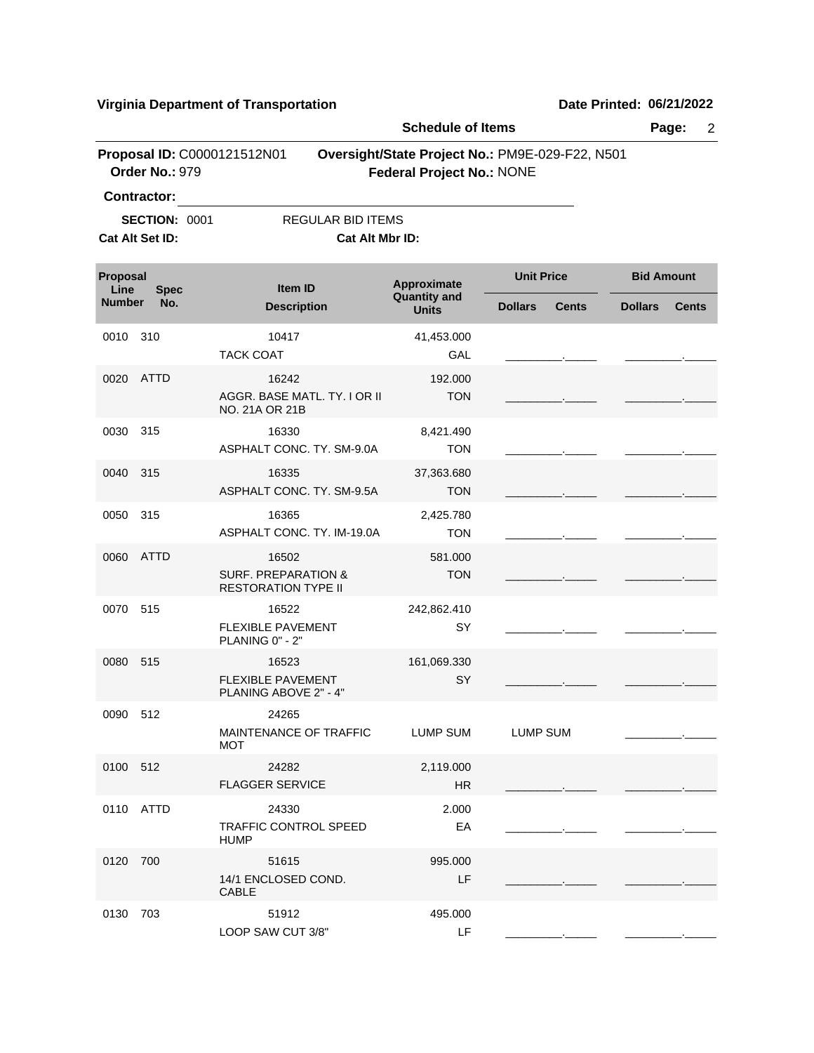**Virginia Department of Transportation Date Printed:** 06/21/2022

|                                 |                      |                                                              | <b>Schedule of Items</b>                                                            |                   |              | Page:<br>$\overline{2}$ |              |  |
|---------------------------------|----------------------|--------------------------------------------------------------|-------------------------------------------------------------------------------------|-------------------|--------------|-------------------------|--------------|--|
|                                 | Order No.: 979       | Proposal ID: C0000121512N01                                  | Oversight/State Project No.: PM9E-029-F22, N501<br><b>Federal Project No.: NONE</b> |                   |              |                         |              |  |
|                                 | <b>Contractor:</b>   |                                                              |                                                                                     |                   |              |                         |              |  |
|                                 | <b>SECTION: 0001</b> | <b>REGULAR BID ITEMS</b>                                     |                                                                                     |                   |              |                         |              |  |
|                                 | Cat Alt Set ID:      | Cat Alt Mbr ID:                                              |                                                                                     |                   |              |                         |              |  |
| Proposal<br>Line<br><b>Spec</b> |                      | Item ID                                                      | Approximate<br><b>Quantity and</b>                                                  | <b>Unit Price</b> |              | <b>Bid Amount</b>       |              |  |
| <b>Number</b>                   | No.                  | <b>Description</b>                                           | <b>Units</b>                                                                        | <b>Dollars</b>    | <b>Cents</b> | <b>Dollars</b>          | <b>Cents</b> |  |
| 0010                            | 310                  | 10417                                                        | 41,453.000                                                                          |                   |              |                         |              |  |
|                                 |                      | <b>TACK COAT</b>                                             | GAL                                                                                 |                   |              |                         |              |  |
| 0020                            | <b>ATTD</b>          | 16242                                                        | 192.000                                                                             |                   |              |                         |              |  |
|                                 |                      | AGGR. BASE MATL. TY. I OR II<br>NO. 21A OR 21B               | <b>TON</b>                                                                          |                   |              |                         |              |  |
| 0030                            | 315                  | 16330                                                        | 8,421.490                                                                           |                   |              |                         |              |  |
|                                 |                      | ASPHALT CONC. TY. SM-9.0A                                    | <b>TON</b>                                                                          |                   |              |                         |              |  |
| 0040                            | 315                  | 16335                                                        | 37,363.680                                                                          |                   |              |                         |              |  |
|                                 |                      | ASPHALT CONC. TY. SM-9.5A                                    | <b>TON</b>                                                                          |                   |              |                         |              |  |
| 0050                            | 315                  | 16365                                                        | 2,425.780                                                                           |                   |              |                         |              |  |
|                                 |                      | ASPHALT CONC. TY. IM-19.0A                                   | <b>TON</b>                                                                          |                   |              |                         |              |  |
| 0060                            | <b>ATTD</b>          | 16502                                                        | 581.000                                                                             |                   |              |                         |              |  |
|                                 |                      | <b>SURF. PREPARATION &amp;</b><br><b>RESTORATION TYPE II</b> | <b>TON</b>                                                                          |                   |              |                         |              |  |
| 0070                            | 515                  | 16522                                                        | 242,862.410                                                                         |                   |              |                         |              |  |
|                                 |                      | <b>FLEXIBLE PAVEMENT</b><br>PLANING 0" - 2"                  | SY                                                                                  |                   |              |                         |              |  |
| 0080 515                        |                      | 16523                                                        | 161,069.330                                                                         |                   |              |                         |              |  |
|                                 |                      | <b>FLEXIBLE PAVEMENT</b><br>PLANING ABOVE 2" - 4"            | SY                                                                                  |                   |              |                         |              |  |
| 0090 512                        |                      | 24265                                                        |                                                                                     |                   |              |                         |              |  |
|                                 |                      | MAINTENANCE OF TRAFFIC<br>MOT                                | LUMP SUM                                                                            | LUMP SUM          |              |                         |              |  |
| 0100 512                        |                      | 24282                                                        | 2,119.000                                                                           |                   |              |                         |              |  |
|                                 |                      | <b>FLAGGER SERVICE</b>                                       | HR                                                                                  |                   |              |                         |              |  |
|                                 | 0110 ATTD            | 24330                                                        | 2.000                                                                               |                   |              |                         |              |  |
|                                 |                      | <b>TRAFFIC CONTROL SPEED</b><br><b>HUMP</b>                  | EA                                                                                  |                   |              |                         |              |  |
| 0120 700                        |                      | 51615                                                        | 995.000                                                                             |                   |              |                         |              |  |
|                                 |                      | 14/1 ENCLOSED COND.<br><b>CABLE</b>                          | LF                                                                                  |                   |              |                         |              |  |
| 0130 703                        |                      | 51912                                                        | 495.000                                                                             |                   |              |                         |              |  |
|                                 |                      | LOOP SAW CUT 3/8"                                            | LF                                                                                  |                   |              |                         |              |  |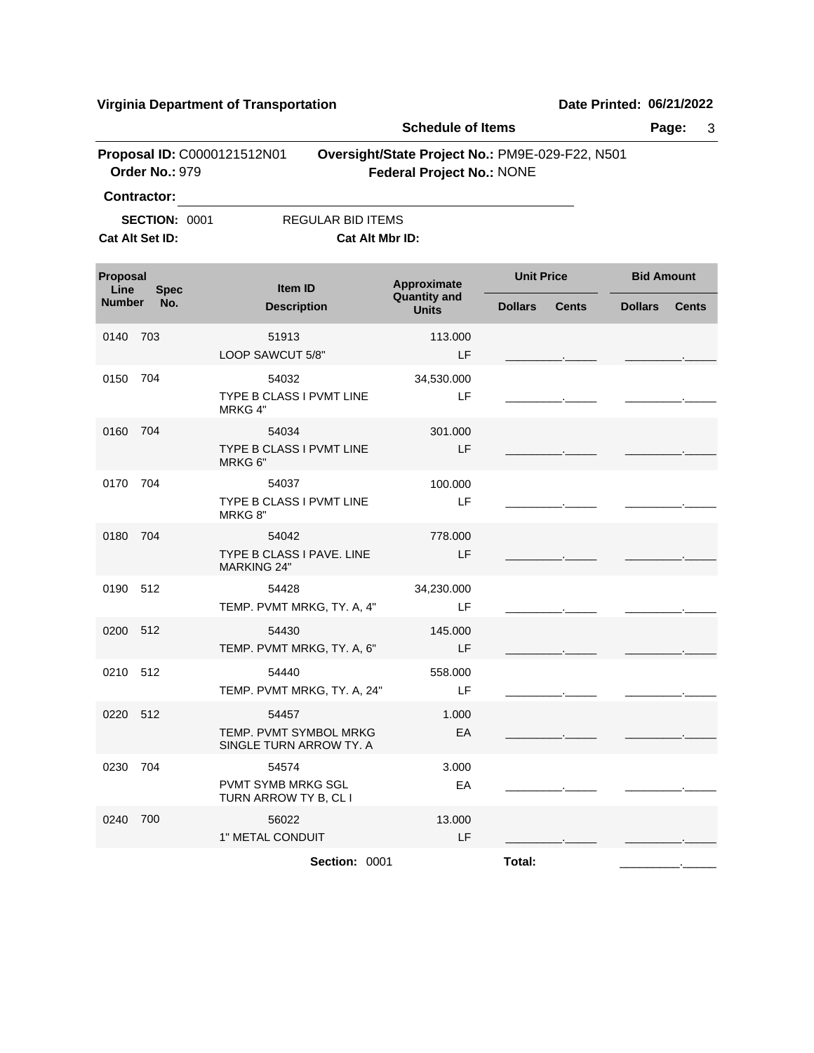**Virginia Department of Transportation Date Printed:** 06/21/2022

|                                         |                                                                     |                                                            | <b>Schedule of Items</b>                                                            |                   |              |                   | 3<br>Page:   |
|-----------------------------------------|---------------------------------------------------------------------|------------------------------------------------------------|-------------------------------------------------------------------------------------|-------------------|--------------|-------------------|--------------|
|                                         | Proposal ID: C0000121512N01<br>Order No.: 979<br><b>Contractor:</b> |                                                            | Oversight/State Project No.: PM9E-029-F22, N501<br><b>Federal Project No.: NONE</b> |                   |              |                   |              |
| <b>SECTION: 0001</b><br>Cat Alt Set ID: |                                                                     | <b>REGULAR BID ITEMS</b><br>Cat Alt Mbr ID:                |                                                                                     |                   |              |                   |              |
| Proposal<br>Line                        | <b>Spec</b>                                                         | Item ID                                                    | Approximate                                                                         | <b>Unit Price</b> |              | <b>Bid Amount</b> |              |
| <b>Number</b>                           | No.                                                                 | <b>Description</b>                                         | <b>Quantity and</b><br><b>Units</b>                                                 | <b>Dollars</b>    | <b>Cents</b> | <b>Dollars</b>    | <b>Cents</b> |
| 0140 703                                |                                                                     | 51913<br>LOOP SAWCUT 5/8"                                  | 113.000<br>LF                                                                       |                   |              |                   |              |
| 0150 704                                |                                                                     | 54032<br>TYPE B CLASS I PVMT LINE<br>MRKG 4"               | 34,530.000<br>LF                                                                    |                   |              |                   |              |
| 0160 704                                |                                                                     | 54034<br>TYPE B CLASS I PVMT LINE<br>MRKG 6"               | 301.000<br>LF                                                                       |                   |              |                   |              |
| 0170                                    | 704                                                                 | 54037<br>TYPE B CLASS I PVMT LINE<br>MRKG 8"               | 100.000<br>LF                                                                       |                   |              |                   |              |
| 0180                                    | - 704                                                               | 54042<br>TYPE B CLASS I PAVE. LINE<br><b>MARKING 24"</b>   | 778,000<br>LF                                                                       |                   |              |                   |              |
| 0190 512                                |                                                                     | 54428<br>TEMP. PVMT MRKG, TY. A, 4"                        | 34,230.000<br>LF                                                                    |                   |              |                   |              |
| 0200 512                                |                                                                     | 54430<br>TEMP. PVMT MRKG, TY. A, 6"                        | 145.000<br>LF                                                                       |                   |              |                   |              |
| 0210 512                                |                                                                     | 54440<br>TEMP. PVMT MRKG, TY. A, 24"                       | 558.000<br>LF                                                                       |                   |              |                   |              |
| 0220 512                                |                                                                     | 54457<br>TEMP. PVMT SYMBOL MRKG<br>SINGLE TURN ARROW TY. A | 1.000<br>EA                                                                         |                   |              |                   |              |
| 0230                                    | 704                                                                 | 54574<br>PVMT SYMB MRKG SGL<br>TURN ARROW TY B, CL I       | 3.000<br>EA                                                                         |                   |              |                   |              |
| 0240 700                                |                                                                     | 56022<br>1" METAL CONDUIT                                  | 13.000<br>LF                                                                        |                   |              |                   |              |
|                                         |                                                                     | Section: 0001                                              |                                                                                     | Total:            |              |                   |              |